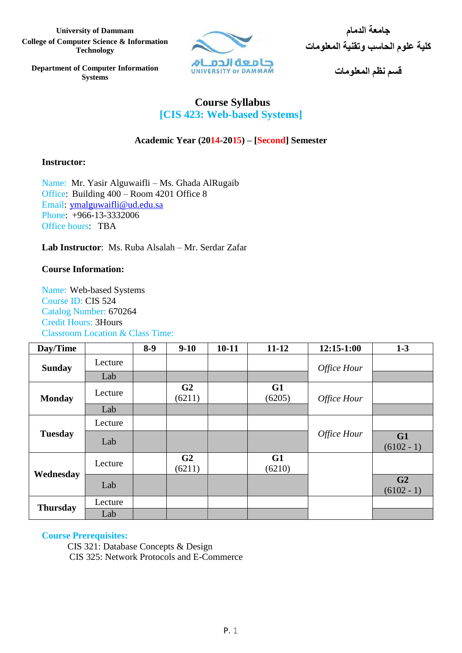**University of Dammam الدمام جامعة College of Computer Science & Information Technology**



**كلية علوم الحاسب وتقنية المعلومات**

**قسم نظم المعلومات**

**Department of Computer Information Systems**

# **Course Syllabus [CIS 423: Web-based Systems]**

# **Academic Year (2014-2015) – [Second] Semester**

# **Instructor:**

Name: Mr. Yasir Alguwaifli – Ms. Ghada AlRugaib Office: Building 400 – Room 4201 Office 8 Email: [ymalguwaifli@ud.edu.sa](mailto:ymalguwaifli@ud.edu.sa) Phone: +966-13-3332006 Office hours: TBA

**Lab Instructor**: Ms. Ruba Alsalah – Mr. Serdar Zafar

# **Course Information:**

Name: Web-based Systems Course ID: CIS 524 Catalog Number: 670264 Credit Hours: 3Hours Classroom Location & Class Time:

| Day/Time        |         | $8-9$ | $9-10$                   | $10 - 11$ | $11 - 12$    | $12:15-1:00$ | $1-3$                          |
|-----------------|---------|-------|--------------------------|-----------|--------------|--------------|--------------------------------|
| <b>Sunday</b>   | Lecture |       |                          |           |              | Office Hour  |                                |
|                 | Lab     |       |                          |           |              |              |                                |
| <b>Monday</b>   | Lecture |       | G <sub>2</sub><br>(6211) |           | G1<br>(6205) | Office Hour  |                                |
|                 | Lab     |       |                          |           |              |              |                                |
| <b>Tuesday</b>  | Lecture |       |                          |           |              |              |                                |
|                 | Lab     |       |                          |           |              | Office Hour  | G1<br>$(6102 - 1)$             |
| Wednesday       | Lecture |       | G2<br>(6211)             |           | G1<br>(6210) |              |                                |
|                 | Lab     |       |                          |           |              |              | G <sub>2</sub><br>$(6102 - 1)$ |
| <b>Thursday</b> | Lecture |       |                          |           |              |              |                                |
|                 | Lab     |       |                          |           |              |              |                                |

# **Course Prerequisites:**

 CIS 321: Database Concepts & Design CIS 325: Network Protocols and E-Commerce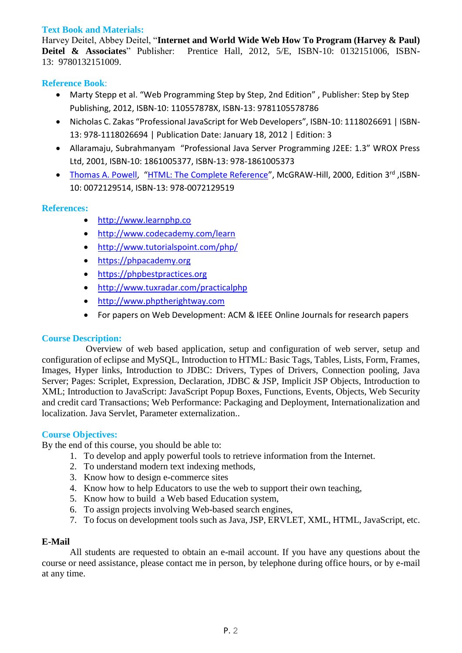### **Text Book and Materials:**

Harvey Deitel, Abbey Deitel, "**Internet and World Wide Web How To Program (Harvey & Paul) Deitel & Associates**" Publisher: Prentice Hall, 2012, 5/E, ISBN-10: 0132151006, ISBN-13: 9780132151009.

### **Reference Book**:

- Marty Stepp et al. "Web Programming Step by Step, 2nd Edition" , Publisher: Step by Step Publishing, 2012, ISBN-10: 110557878X, ISBN-13: 9781105578786
- Nicholas C. Zakas "Professional JavaScript for Web Developers", ISBN-10: 1118026691 | ISBN-13: 978-1118026694 | Publication Date: January 18, 2012 | Edition: 3
- Allaramaju, Subrahmanyam "Professional Java Server Programming J2EE: 1.3" WROX Press Ltd, 2001, ISBN-10: 1861005377, ISBN-13: 978-1861005373
- [Thomas A. Powell](http://www.amazon.com/s/ref=si3_rdr_bb_author?index=books&field%2dauthor%2dexact=Thomas%20A%2e%20Powell), "[HTML: The Complete Reference](http://www.amazon.com/HTML-Complete-Reference-Thomas-Powell/dp/0072129514/ref=si3_rdr_bb_product)", McGRAW-Hill, 2000, Edition 3rd, JSBN-10: 0072129514, ISBN-13: 978-0072129519

### **References:**

- [http://www.learnphp.co](http://www.learnphp.co/)
- <http://www.codecademy.com/learn>
- <http://www.tutorialspoint.com/php/>
- [https://phpacademy.org](https://phpacademy.org/)
- [https://phpbestpractices.org](https://phpbestpractices.org/)
- <http://www.tuxradar.com/practicalphp>
- [http://www.phptherightway.com](http://www.phptherightway.com/)
- For papers on Web Development: ACM & IEEE Online Journals for research papers

#### **Course Description:**

Overview of web based application, setup and configuration of web server, setup and configuration of eclipse and MySQL, Introduction to HTML: Basic Tags, Tables, Lists, Form, Frames, Images, Hyper links, Introduction to JDBC: Drivers, Types of Drivers, Connection pooling, Java Server; Pages: Scriplet, Expression, Declaration, JDBC & JSP, Implicit JSP Objects, Introduction to XML; Introduction to JavaScript: JavaScript Popup Boxes, Functions, Events, Objects, Web Security and credit card Transactions; Web Performance: Packaging and Deployment, Internationalization and localization. Java Servlet, Parameter externalization..

#### **Course Objectives:**

By the end of this course, you should be able to:

- 1. To develop and apply powerful tools to retrieve information from the Internet.
- 2. To understand modern text indexing methods,
- 3. Know how to design e-commerce sites
- 4. Know how to help Educators to use the web to support their own teaching,
- 5. Know how to build a Web based Education system,
- 6. To assign projects involving Web-based search engines,
- 7. To focus on development tools such as Java, JSP, ERVLET, XML, HTML, JavaScript, etc.

#### **E-Mail**

All students are requested to obtain an e-mail account. If you have any questions about the course or need assistance, please contact me in person, by telephone during office hours, or by e-mail at any time.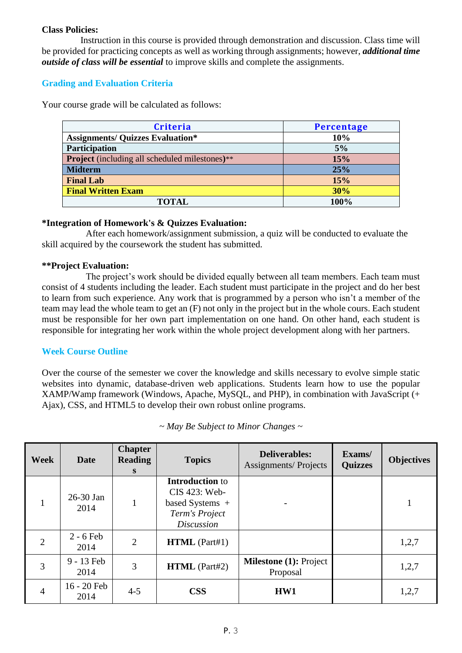#### **Class Policies:**

Instruction in this course is provided through demonstration and discussion. Class time will be provided for practicing concepts as well as working through assignments; however, *additional time outside of class will be essential* to improve skills and complete the assignments.

# **Grading and Evaluation Criteria**

Your course grade will be calculated as follows:

| <b>Criteria</b>                                       | Percentage |  |  |
|-------------------------------------------------------|------------|--|--|
| <b>Assignments/ Quizzes Evaluation*</b>               | 10%        |  |  |
| Participation                                         | 5%         |  |  |
| <b>Project</b> (including all scheduled milestones)** | 15%        |  |  |
| <b>Midterm</b>                                        | 25%        |  |  |
| <b>Final Lab</b>                                      | 15%        |  |  |
| <b>Final Written Exam</b>                             | 30%        |  |  |
| <b>TOTAL</b>                                          | 100%       |  |  |

# **\*Integration of Homework's & Quizzes Evaluation:**

After each homework/assignment submission, a quiz will be conducted to evaluate the skill acquired by the coursework the student has submitted.

# **\*\*Project Evaluation:**

The project's work should be divided equally between all team members. Each team must consist of 4 students including the leader. Each student must participate in the project and do her best to learn from such experience. Any work that is programmed by a person who isn't a member of the team may lead the whole team to get an (F) not only in the project but in the whole cours. Each student must be responsible for her own part implementation on one hand. On other hand, each student is responsible for integrating her work within the whole project development along with her partners.

# **Week Course Outline**

Over the course of the semester we cover the knowledge and skills necessary to evolve simple static websites into dynamic, database-driven web applications. Students learn how to use the popular XAMP/Wamp framework (Windows, Apache, MySQL, and PHP), in combination with JavaScript (+ Ajax), CSS, and HTML5 to develop their own robust online programs.

| <b>Week</b>    | Date                | <b>Chapter</b><br><b>Reading</b><br>S | <b>Topics</b>                                                                                       | <b>Deliverables:</b><br><b>Assignments/Projects</b> | Exams/<br><b>Quizzes</b> | <b>Objectives</b> |
|----------------|---------------------|---------------------------------------|-----------------------------------------------------------------------------------------------------|-----------------------------------------------------|--------------------------|-------------------|
|                | 26-30 Jan<br>2014   |                                       | <b>Introduction to</b><br>CIS 423: Web-<br>based Systems $+$<br>Term's Project<br><i>Discussion</i> |                                                     |                          | 1                 |
| $\overline{2}$ | $2 - 6$ Feb<br>2014 | $\overline{2}$                        | HTML (Part#1)                                                                                       |                                                     |                          | 1,2,7             |
| 3              | 9 - 13 Feb<br>2014  | 3                                     | $HTML$ (Part#2)                                                                                     | <b>Milestone (1): Project</b><br>Proposal           |                          | 1,2,7             |
| $\overline{4}$ | 16 - 20 Feb<br>2014 | $4 - 5$                               | <b>CSS</b>                                                                                          | HW1                                                 |                          | 1,2,7             |

*~ May Be Subject to Minor Changes ~*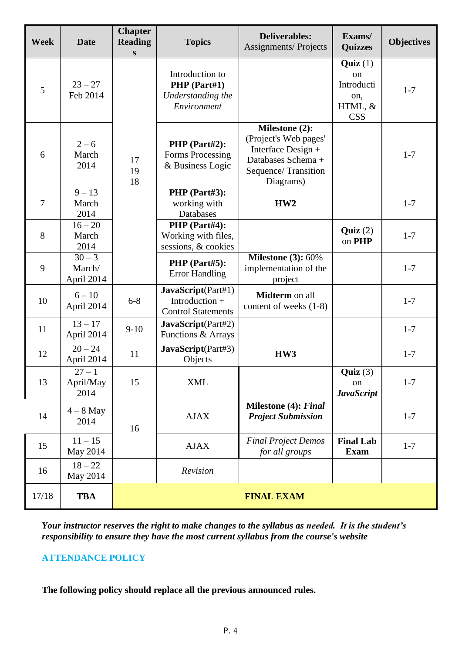| Week           | Date                             | <b>Chapter</b><br><b>Reading</b><br>S | <b>Topics</b>                                                       | <b>Deliverables:</b><br><b>Assignments/Projects</b>                                                                     | Exams/<br><b>Quizzes</b>                                    | <b>Objectives</b> |  |
|----------------|----------------------------------|---------------------------------------|---------------------------------------------------------------------|-------------------------------------------------------------------------------------------------------------------------|-------------------------------------------------------------|-------------------|--|
| 5              | $23 - 27$<br>Feb 2014            |                                       | Introduction to<br>PHP (Part#1)<br>Understanding the<br>Environment |                                                                                                                         | Quiz(1)<br>on<br>Introducti<br>on,<br>HTML, &<br><b>CSS</b> | $1 - 7$           |  |
| 6              | $2 - 6$<br>March<br>2014         | 17<br>19<br>18                        | PHP (Part#2):<br>Forms Processing<br>& Business Logic               | Milestone (2):<br>(Project's Web pages'<br>Interface Design +<br>Databases Schema +<br>Sequence/Transition<br>Diagrams) |                                                             | $1 - 7$           |  |
| $\overline{7}$ | $9 - 13$<br>March<br>2014        |                                       | PHP (Part#3):<br>working with<br>Databases                          | HW2                                                                                                                     |                                                             | $1 - 7$           |  |
| 8              | $16 - 20$<br>March<br>2014       |                                       | PHP (Part#4):<br>Working with files,<br>sessions, & cookies         |                                                                                                                         | Quiz $(2)$<br>on PHP                                        | $1 - 7$           |  |
| 9              | $30 - 3$<br>March/<br>April 2014 |                                       | PHP (Part#5):<br><b>Error Handling</b>                              | <b>Milestone (3): 60%</b><br>implementation of the<br>project                                                           |                                                             | $1 - 7$           |  |
| 10             | $6 - 10$<br>April 2014           | $6 - 8$                               | JavaScript(Part#1)<br>Introduction +<br><b>Control Statements</b>   | Midterm on all<br>content of weeks (1-8)                                                                                |                                                             | $1 - 7$           |  |
| 11             | $13 - 17$<br>April 2014          | $9-10$                                | JavaScript(Part#2)<br>Functions & Arrays                            |                                                                                                                         |                                                             | $1 - 7$           |  |
| 12             | $20 - 24$<br>April 2014          | 11                                    | JavaScript(Part#3)<br>Objects                                       | HW3                                                                                                                     |                                                             | $1 - 7$           |  |
| 13             | $27 - 1$<br>April/May<br>2014    | 15                                    | <b>XML</b>                                                          |                                                                                                                         | Quiz(3)<br>on<br><b>JavaScript</b>                          | $1 - 7$           |  |
| 14             | $4 - 8$ May<br>2014              | 16                                    | <b>AJAX</b>                                                         | Milestone (4): Final<br><b>Project Submission</b>                                                                       |                                                             | $1 - 7$           |  |
| 15             | $11 - 15$<br>May 2014            |                                       | <b>AJAX</b>                                                         | <b>Final Project Demos</b><br>for all groups                                                                            | <b>Final Lab</b><br><b>Exam</b>                             | $1 - 7$           |  |
| 16             | $18 - 22$<br>May 2014            |                                       | Revision                                                            |                                                                                                                         |                                                             |                   |  |
| 17/18          | <b>TBA</b>                       | <b>FINAL EXAM</b>                     |                                                                     |                                                                                                                         |                                                             |                   |  |

*Your instructor reserves the right to make changes to the syllabus as needed. It is the student's responsibility to ensure they have the most current syllabus from the course's website*

# **ATTENDANCE POLICY**

**The following policy should replace all the previous announced rules.**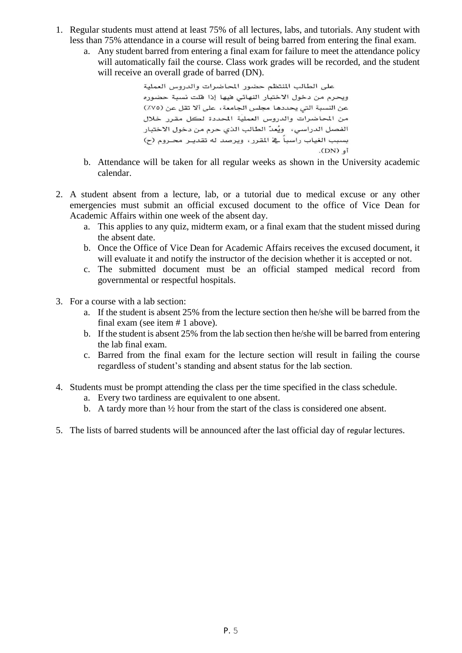- 1. Regular students must attend at least 75% of all lectures, labs, and tutorials. Any student with less than 75% attendance in a course will result of being barred from entering the final exam.
	- a. Any student barred from entering a final exam for failure to meet the attendance policy will automatically fail the course. Class work grades will be recorded, and the student will receive an overall grade of barred (DN).

```
على الطالب المنتظم حضور المحاضرات والدروس العملية
ويحرم من دخول الاختبار النهائي فيها إذا فلت نسبة حضوره
عن النسبة التي يحددها مجلس الجامعة، على ألا تقل عن (٧٥٪)
من المحاضرات والدروس العملية المحددة لكل مقرر خلال
الفصل الدراسي، ۖ ويُعدّ الطالب الذي حرم من دخول الاختبار
بسبب الغياب راسباً في المقرر ، ويرصد له تقديـر محـروم (ح)
                                              (DN) \phi
```
- b. Attendance will be taken for all regular weeks as shown in the University academic calendar.
- 2. A student absent from a lecture, lab, or a tutorial due to medical excuse or any other emergencies must submit an official excused document to the office of Vice Dean for Academic Affairs within one week of the absent day.
	- a. This applies to any quiz, midterm exam, or a final exam that the student missed during the absent date.
	- b. Once the Office of Vice Dean for Academic Affairs receives the excused document, it will evaluate it and notify the instructor of the decision whether it is accepted or not.
	- c. The submitted document must be an official stamped medical record from governmental or respectful hospitals.
- 3. For a course with a lab section:
	- a. If the student is absent 25% from the lecture section then he/she will be barred from the final exam (see item # 1 above).
	- b. If the student is absent 25% from the lab section then he/she will be barred from entering the lab final exam.
	- c. Barred from the final exam for the lecture section will result in failing the course regardless of student's standing and absent status for the lab section.
- 4. Students must be prompt attending the class per the time specified in the class schedule.
	- a. Every two tardiness are equivalent to one absent.
	- b. A tardy more than ½ hour from the start of the class is considered one absent.
- 5. The lists of barred students will be announced after the last official day of regular lectures.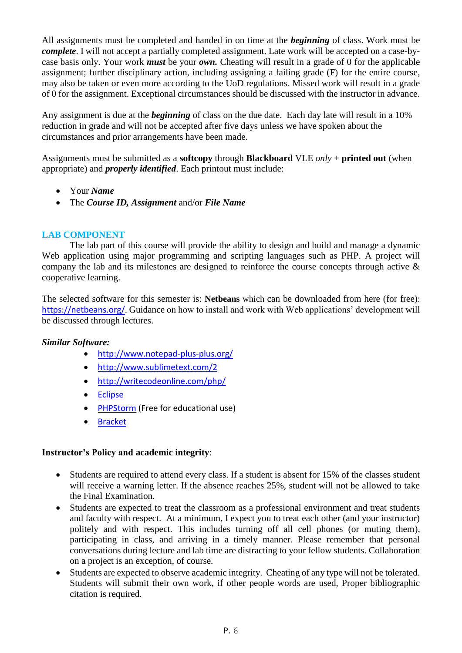All assignments must be completed and handed in on time at the *beginning* of class. Work must be *complete*. I will not accept a partially completed assignment. Late work will be accepted on a case-bycase basis only. Your work *must* be your *own.* Cheating will result in a grade of 0 for the applicable assignment; further disciplinary action, including assigning a failing grade (F) for the entire course, may also be taken or even more according to the UoD regulations. Missed work will result in a grade of 0 for the assignment. Exceptional circumstances should be discussed with the instructor in advance.

Any assignment is due at the *beginning* of class on the due date. Each day late will result in a 10% reduction in grade and will not be accepted after five days unless we have spoken about the circumstances and prior arrangements have been made.

Assignments must be submitted as a **softcopy** through **Blackboard** VLE *only* + **printed out** (when appropriate) and *properly identified*. Each printout must include:

- Your *Name*
- The *Course ID, Assignment* and/or *File Name*

### **LAB COMPONENT**

The lab part of this course will provide the ability to design and build and manage a dynamic Web application using major programming and scripting languages such as PHP. A project will company the lab and its milestones are designed to reinforce the course concepts through active & cooperative learning.

The selected software for this semester is: **Netbeans** which can be downloaded from here (for free): https://netbeans.org/. Guidance on how to install and work with Web applications' development will be discussed through lectures.

#### *Similar Software:*

- <http://www.notepad-plus-plus.org/>
- <http://www.sublimetext.com/2>
- <http://writecodeonline.com/php/>
- **•** [Eclipse](https://www.eclipse.org/downloads/packages/eclipse-ide-java-ee-developers/lunasr1)
- [PHPStorm](https://www.jetbrains.com/phpstorm/) (Free for educational use)
- [Bracket](http://brackets.io/)

#### **Instructor's Policy and academic integrity**:

- Students are required to attend every class. If a student is absent for 15% of the classes student will receive a warning letter. If the absence reaches 25%, student will not be allowed to take the Final Examination.
- Students are expected to treat the classroom as a professional environment and treat students and faculty with respect. At a minimum, I expect you to treat each other (and your instructor) politely and with respect. This includes turning off all cell phones (or muting them), participating in class, and arriving in a timely manner. Please remember that personal conversations during lecture and lab time are distracting to your fellow students. Collaboration on a project is an exception, of course.
- Students are expected to observe academic integrity. Cheating of any type will not be tolerated. Students will submit their own work, if other people words are used, Proper bibliographic citation is required.